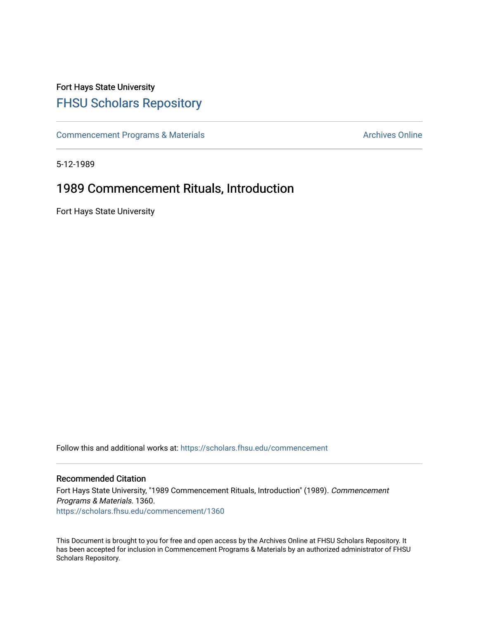## Fort Hays State University [FHSU Scholars Repository](https://scholars.fhsu.edu/)

[Commencement Programs & Materials](https://scholars.fhsu.edu/commencement) **Archives Online** Archives Online

5-12-1989

## 1989 Commencement Rituals, Introduction

Fort Hays State University

Follow this and additional works at: [https://scholars.fhsu.edu/commencement](https://scholars.fhsu.edu/commencement?utm_source=scholars.fhsu.edu%2Fcommencement%2F1360&utm_medium=PDF&utm_campaign=PDFCoverPages)

## Recommended Citation

Fort Hays State University, "1989 Commencement Rituals, Introduction" (1989). Commencement Programs & Materials. 1360. [https://scholars.fhsu.edu/commencement/1360](https://scholars.fhsu.edu/commencement/1360?utm_source=scholars.fhsu.edu%2Fcommencement%2F1360&utm_medium=PDF&utm_campaign=PDFCoverPages) 

This Document is brought to you for free and open access by the Archives Online at FHSU Scholars Repository. It has been accepted for inclusion in Commencement Programs & Materials by an authorized administrator of FHSU Scholars Repository.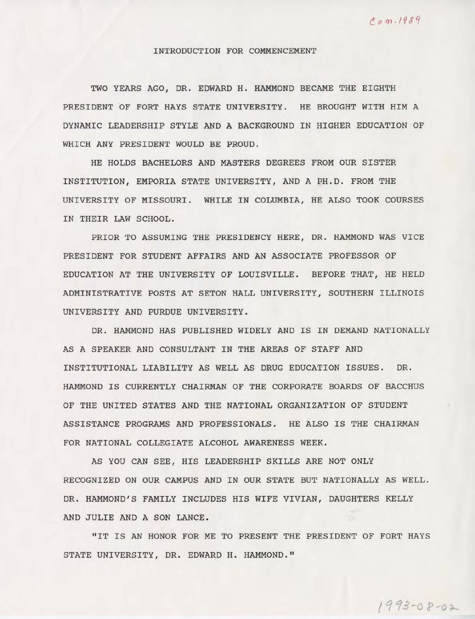## INTRODUCTION FOR COMMENCEMENT

TWO YEARS AGO, DR. EDWARD H. HAMMOND BECAME THE EIGHTH PRESIDENT OF FORT HAYS STATE UNIVERSITY. HE BROUGHT WITH HIM A DYNAMIC LEADERSHIP STYLE AND A BACKGROUND IN HIGHER EDUCATION OF WHICH ANY PRESIDENT WOULD BE PROUD.

HE HOLDS BACHELORS AND MASTERS DEGREES FROM OUR SISTER INSTITUTION, EMPORIA STATE UNIVERSITY, AND A PH.D. FROM THE UNIVERSITY OF MISSOURI. WHILE IN COLUMBIA, HE ALSO TOOK COURSES IN THEIR LAW SCHOOL.

PRIOR TO ASSUMING THE PRESIDENCY HERE, DR. HAMMOND WAS VICE PRESIDENT FOR STUDENT AFFAIRS AND AN ASSOCIATE PROFESSOR OF EDUCATION AT THE UNIVERSITY OF LOUISVILLE. BEFORE THAT, HE HELD ADMINISTRATIVE POSTS AT SETON HALL UNIVERSITY, SOUTHERN ILLINOIS UNIVERSITY AND PURDUE UNIVERSITY.

DR. HAMMOND HAS PUBLISHED WIDELY AND IS IN DEMAND NATIONALLY AS A SPEAKER AND CONSULTANT IN THE AREAS OF STAFF AND INSTITUTIONAL LIABILITY AS WELL AS DRUG EDUCATION ISSUES. DR. HAMMOND IS CURRENTLY CHAIRMAN OF THE CORPORATE BOARDS OF BACCHUS OF THE UNITED STATES AND THE NATIONAL ORGANIZATION OF STUDENT ASSISTANCE PROGRAMS AND PROFESSIONALS. HE ALSO IS THE CHAIRMAN FOR NATIONAL COLLEGIATE ALCOHOL AWARENESS WEEK.

AS YOU CAN SEE, HIS LEADERSHIP SKILLS ARE NOT ONLY RECOGNIZED ON OUR CAMPUS AND IN OUR STATE BUT NATIONALLY AS WELL. DR. HAMMOND'S FAMILY INCLUDES HIS WIFE VIVIAN, DAUGHTERS KELLY AND JULIE AND A SON LANCE.

"IT IS AN HONOR FOR ME TO PRESENT THE PRESIDENT OF FORT HAYS STATE UNIVERSITY, DR. EDWARD H. HAMMOND."